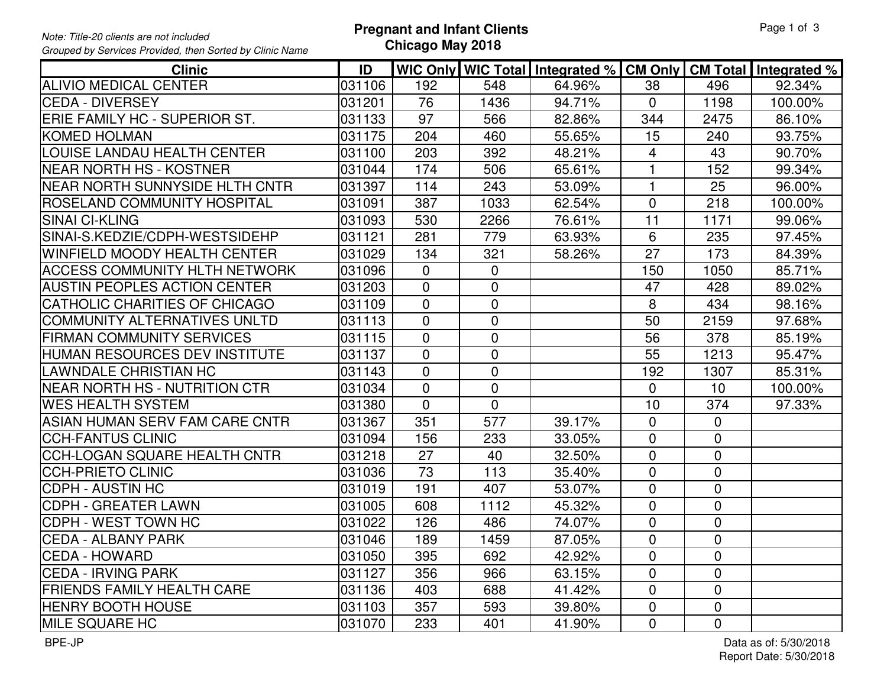| <b>Clinic</b>                        | ID     |                |                | WIC Only WIC Total Integrated % CM Only CM Total Integrated % |                 |                |         |
|--------------------------------------|--------|----------------|----------------|---------------------------------------------------------------|-----------------|----------------|---------|
| <b>ALIVIO MEDICAL CENTER</b>         | 031106 | 192            | 548            | 64.96%                                                        | 38              | 496            | 92.34%  |
| <b>ICEDA - DIVERSEY</b>              | 031201 | 76             | 1436           | 94.71%                                                        | $\overline{0}$  | 1198           | 100.00% |
| ERIE FAMILY HC - SUPERIOR ST.        | 031133 | 97             | 566            | 82.86%                                                        | 344             | 2475           | 86.10%  |
| KOMED HOLMAN                         | 031175 | 204            | 460            | 55.65%                                                        | 15              | 240            | 93.75%  |
| <b>LOUISE LANDAU HEALTH CENTER</b>   | 031100 | 203            | 392            | 48.21%                                                        | $\overline{4}$  | 43             | 90.70%  |
| <b>NEAR NORTH HS - KOSTNER</b>       | 031044 | 174            | 506            | 65.61%                                                        | $\mathbf{1}$    | 152            | 99.34%  |
| NEAR NORTH SUNNYSIDE HLTH CNTR       | 031397 | 114            | 243            | 53.09%                                                        | $\mathbf{1}$    | 25             | 96.00%  |
| ROSELAND COMMUNITY HOSPITAL          | 031091 | 387            | 1033           | 62.54%                                                        | $\Omega$        | 218            | 100.00% |
| <b>SINAI CI-KLING</b>                | 031093 | 530            | 2266           | 76.61%                                                        | $\overline{11}$ | 1171           | 99.06%  |
| SINAI-S.KEDZIE/CDPH-WESTSIDEHP       | 031121 | 281            | 779            | 63.93%                                                        | 6               | 235            | 97.45%  |
| WINFIELD MOODY HEALTH CENTER         | 031029 | 134            | 321            | 58.26%                                                        | 27              | 173            | 84.39%  |
| <b>ACCESS COMMUNITY HLTH NETWORK</b> | 031096 | $\mathbf 0$    | $\mathbf 0$    |                                                               | 150             | 1050           | 85.71%  |
| <b>AUSTIN PEOPLES ACTION CENTER</b>  | 031203 | $\overline{0}$ | $\overline{0}$ |                                                               | 47              | 428            | 89.02%  |
| <b>CATHOLIC CHARITIES OF CHICAGO</b> | 031109 | $\overline{0}$ | $\mathbf 0$    |                                                               | 8               | 434            | 98.16%  |
| COMMUNITY ALTERNATIVES UNLTD         | 031113 | $\Omega$       | 0              |                                                               | 50              | 2159           | 97.68%  |
| <b>FIRMAN COMMUNITY SERVICES</b>     | 031115 | 0              | 0              |                                                               | 56              | 378            | 85.19%  |
| <b>HUMAN RESOURCES DEV INSTITUTE</b> | 031137 | $\overline{0}$ | $\pmb{0}$      |                                                               | 55              | 1213           | 95.47%  |
| LAWNDALE CHRISTIAN HC                | 031143 | $\overline{0}$ | $\mathbf 0$    |                                                               | 192             | 1307           | 85.31%  |
| NEAR NORTH HS - NUTRITION CTR        | 031034 | $\mathbf 0$    | $\overline{0}$ |                                                               | $\overline{0}$  | 10             | 100.00% |
| <b>WES HEALTH SYSTEM</b>             | 031380 | $\overline{0}$ | $\mathbf 0$    |                                                               | 10              | 374            | 97.33%  |
| ASIAN HUMAN SERV FAM CARE CNTR       | 031367 | 351            | 577            | 39.17%                                                        | $\Omega$        | $\mathbf{0}$   |         |
| <b>CCH-FANTUS CLINIC</b>             | 031094 | 156            | 233            | 33.05%                                                        | $\overline{0}$  | $\mathbf 0$    |         |
| ICCH-LOGAN SQUARE HEALTH CNTR        | 031218 | 27             | 40             | 32.50%                                                        | $\Omega$        | $\mathbf 0$    |         |
| CCH-PRIETO CLINIC                    | 031036 | 73             | 113            | 35.40%                                                        | $\overline{0}$  | $\mathbf 0$    |         |
| <b>CDPH - AUSTIN HC</b>              | 031019 | 191            | 407            | 53.07%                                                        | $\overline{0}$  | $\mathbf 0$    |         |
| CDPH - GREATER LAWN                  | 031005 | 608            | 1112           | 45.32%                                                        | $\overline{0}$  | $\mathbf 0$    |         |
| <b>CDPH - WEST TOWN HC</b>           | 031022 | 126            | 486            | 74.07%                                                        | $\Omega$        | $\mathbf{0}$   |         |
| <b>CEDA - ALBANY PARK</b>            | 031046 | 189            | 1459           | 87.05%                                                        | $\overline{0}$  | $\mathbf 0$    |         |
| <b>CEDA - HOWARD</b>                 | 031050 | 395            | 692            | 42.92%                                                        | $\Omega$        | $\mathbf 0$    |         |
| <b>CEDA - IRVING PARK</b>            | 031127 | 356            | 966            | 63.15%                                                        | $\overline{0}$  | $\mathbf 0$    |         |
| <b>FRIENDS FAMILY HEALTH CARE</b>    | 031136 | 403            | 688            | 41.42%                                                        | $\Omega$        | $\mathbf 0$    |         |
| <b>HENRY BOOTH HOUSE</b>             | 031103 | 357            | 593            | 39.80%                                                        | $\overline{0}$  | $\overline{0}$ |         |
| <b>MILE SQUARE HC</b>                | 031070 | 233            | 401            | 41.90%                                                        | $\Omega$        | $\overline{0}$ |         |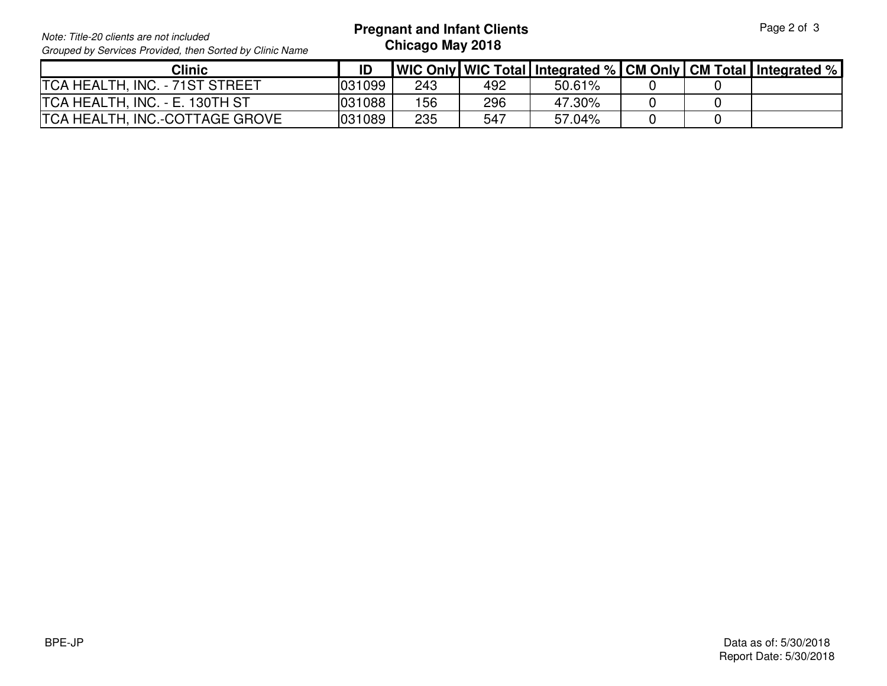Grouped by Services Provided, then Sorted by Clinic NameNote: Title-20 clients are not included **Pregnant and Infant Clients** Page 2 of **Pregnant and Infant Clients** Page 2 of **Chicago May 2018** 

| Clinic                                          | ID |     |     |        |  | WIC Only   WIC Total   Integrated %   CM Only   CM Total   Integrated % |
|-------------------------------------------------|----|-----|-----|--------|--|-------------------------------------------------------------------------|
| <b>TCA HEALTH, INC. - 71ST STREET</b><br>031099 |    | 243 | 492 | 50.61% |  |                                                                         |
| <b>TCA HEALTH, INC. - E. 130TH ST</b><br>031088 |    | 156 | 296 | 47.30% |  |                                                                         |
| <b>TCA HEALTH, INC.-COTTAGE GROVE</b><br>031089 |    | 235 | 547 | 57.04% |  |                                                                         |